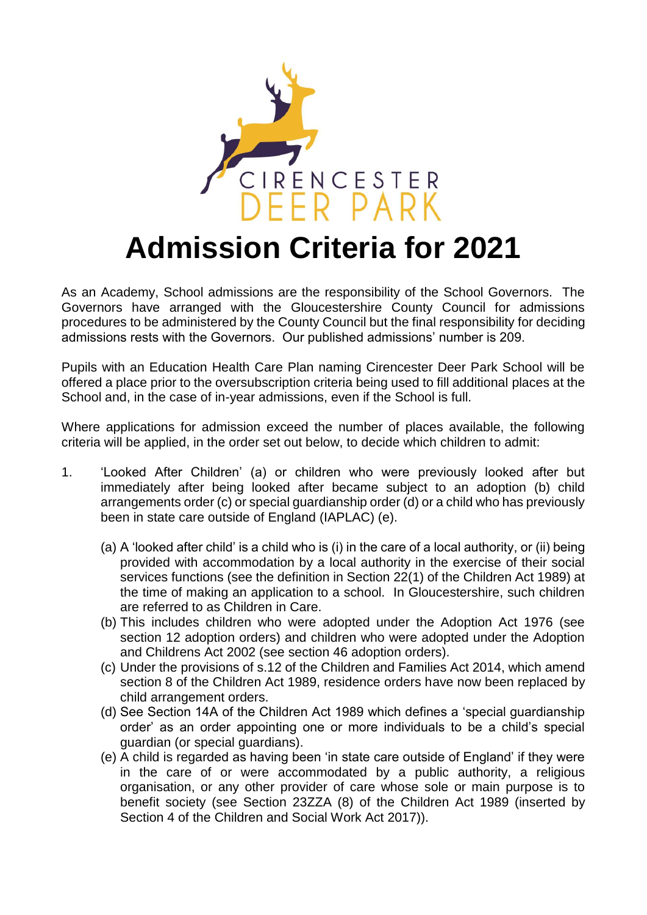

## **Admission Criteria for 2021**

As an Academy, School admissions are the responsibility of the School Governors. The Governors have arranged with the Gloucestershire County Council for admissions procedures to be administered by the County Council but the final responsibility for deciding admissions rests with the Governors. Our published admissions' number is 209.

Pupils with an Education Health Care Plan naming Cirencester Deer Park School will be offered a place prior to the oversubscription criteria being used to fill additional places at the School and, in the case of in-year admissions, even if the School is full.

Where applications for admission exceed the number of places available, the following criteria will be applied, in the order set out below, to decide which children to admit:

- 1. 'Looked After Children' (a) or children who were previously looked after but immediately after being looked after became subject to an adoption (b) child arrangements order (c) or special guardianship order (d) or a child who has previously been in state care outside of England (IAPLAC) (e).
	- (a) A 'looked after child' is a child who is (i) in the care of a local authority, or (ii) being provided with accommodation by a local authority in the exercise of their social services functions (see the definition in Section 22(1) of the Children Act 1989) at the time of making an application to a school. In Gloucestershire, such children are referred to as Children in Care.
	- (b) This includes children who were adopted under the Adoption Act 1976 (see section 12 adoption orders) and children who were adopted under the Adoption and Childrens Act 2002 (see section 46 adoption orders).
	- (c) Under the provisions of s.12 of the Children and Families Act 2014, which amend section 8 of the Children Act 1989, residence orders have now been replaced by child arrangement orders.
	- (d) See Section 14A of the Children Act 1989 which defines a 'special guardianship order' as an order appointing one or more individuals to be a child's special guardian (or special guardians).
	- (e) A child is regarded as having been 'in state care outside of England' if they were in the care of or were accommodated by a public authority, a religious organisation, or any other provider of care whose sole or main purpose is to benefit society (see Section 23ZZA (8) of the Children Act 1989 (inserted by Section 4 of the Children and Social Work Act 2017)).